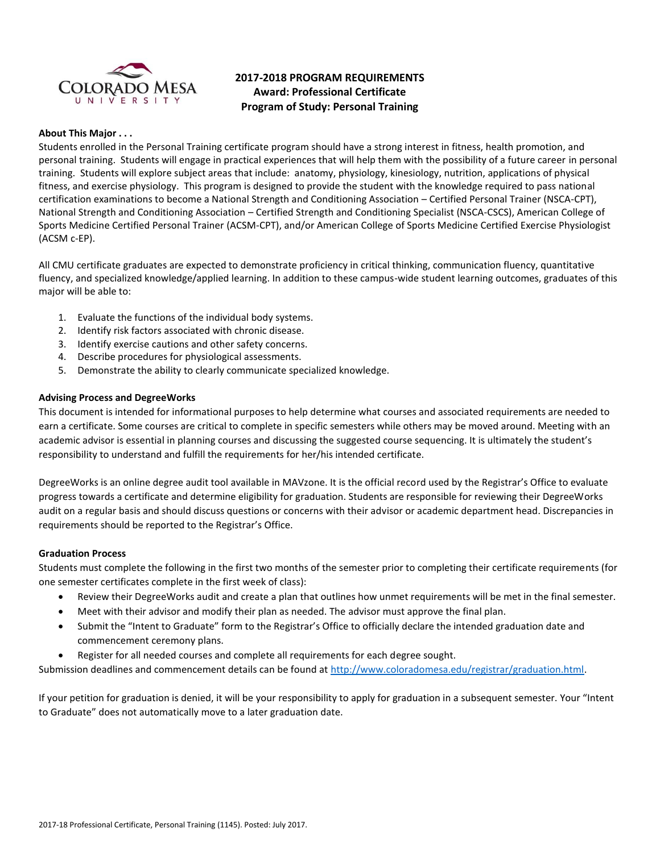

# **2017-2018 PROGRAM REQUIREMENTS Award: Professional Certificate Program of Study: Personal Training**

#### **About This Major . . .**

Students enrolled in the Personal Training certificate program should have a strong interest in fitness, health promotion, and personal training. Students will engage in practical experiences that will help them with the possibility of a future career in personal training. Students will explore subject areas that include: anatomy, physiology, kinesiology, nutrition, applications of physical fitness, and exercise physiology. This program is designed to provide the student with the knowledge required to pass national certification examinations to become a National Strength and Conditioning Association – Certified Personal Trainer (NSCA-CPT), National Strength and Conditioning Association – Certified Strength and Conditioning Specialist (NSCA-CSCS), American College of Sports Medicine Certified Personal Trainer (ACSM-CPT), and/or American College of Sports Medicine Certified Exercise Physiologist (ACSM c-EP).

All CMU certificate graduates are expected to demonstrate proficiency in critical thinking, communication fluency, quantitative fluency, and specialized knowledge/applied learning. In addition to these campus-wide student learning outcomes, graduates of this major will be able to:

- 1. Evaluate the functions of the individual body systems.
- 2. Identify risk factors associated with chronic disease.
- 3. Identify exercise cautions and other safety concerns.
- 4. Describe procedures for physiological assessments.
- 5. Demonstrate the ability to clearly communicate specialized knowledge.

### **Advising Process and DegreeWorks**

This document is intended for informational purposes to help determine what courses and associated requirements are needed to earn a certificate. Some courses are critical to complete in specific semesters while others may be moved around. Meeting with an academic advisor is essential in planning courses and discussing the suggested course sequencing. It is ultimately the student's responsibility to understand and fulfill the requirements for her/his intended certificate.

DegreeWorks is an online degree audit tool available in MAVzone. It is the official record used by the Registrar's Office to evaluate progress towards a certificate and determine eligibility for graduation. Students are responsible for reviewing their DegreeWorks audit on a regular basis and should discuss questions or concerns with their advisor or academic department head. Discrepancies in requirements should be reported to the Registrar's Office.

#### **Graduation Process**

Students must complete the following in the first two months of the semester prior to completing their certificate requirements (for one semester certificates complete in the first week of class):

- Review their DegreeWorks audit and create a plan that outlines how unmet requirements will be met in the final semester.
- Meet with their advisor and modify their plan as needed. The advisor must approve the final plan.
- Submit the "Intent to Graduate" form to the Registrar's Office to officially declare the intended graduation date and commencement ceremony plans.
- Register for all needed courses and complete all requirements for each degree sought.

Submission deadlines and commencement details can be found at [http://www.coloradomesa.edu/registrar/graduation.html.](http://www.coloradomesa.edu/registrar/graduation.html)

If your petition for graduation is denied, it will be your responsibility to apply for graduation in a subsequent semester. Your "Intent to Graduate" does not automatically move to a later graduation date.